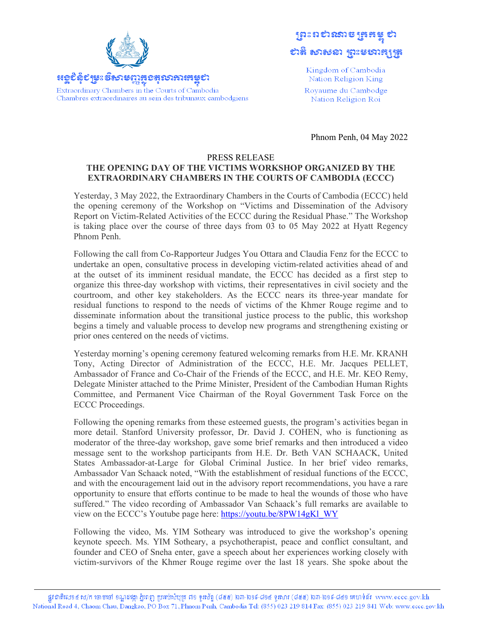



Kingdom of Cambodia Nation Religion King Royaume du Cambodge Nation Religion Roi

Phnom Penh, 04 May 2022

## PRESS RELEASE

## **THE OPENING DAY OF THE VICTIMS WORKSHOP ORGANIZED BY THE EXTRAORDINARY CHAMBERS IN THE COURTS OF CAMBODIA (ECCC)**

Yesterday, 3 May 2022, the Extraordinary Chambers in the Courts of Cambodia (ECCC) held the opening ceremony of the Workshop on "Victims and Dissemination of the Advisory Report on Victim-Related Activities of the ECCC during the Residual Phase." The Workshop is taking place over the course of three days from 03 to 05 May 2022 at Hyatt Regency Phnom Penh.

Following the call from Co-Rapporteur Judges You Ottara and Claudia Fenz for the ECCC to undertake an open, consultative process in developing victim-related activities ahead of and at the outset of its imminent residual mandate, the ECCC has decided as a first step to organize this three-day workshop with victims, their representatives in civil society and the courtroom, and other key stakeholders. As the ECCC nears its three-year mandate for residual functions to respond to the needs of victims of the Khmer Rouge regime and to disseminate information about the transitional justice process to the public, this workshop begins a timely and valuable process to develop new programs and strengthening existing or prior ones centered on the needs of victims.

Yesterday morning's opening ceremony featured welcoming remarks from H.E. Mr. KRANH Tony, Acting Director of Administration of the ECCC, H.E. Mr. Jacques PELLET, Ambassador of France and Co-Chair of the Friends of the ECCC, and H.E. Mr. KEO Remy, Delegate Minister attached to the Prime Minister, President of the Cambodian Human Rights Committee, and Permanent Vice Chairman of the Royal Government Task Force on the ECCC Proceedings.

Following the opening remarks from these esteemed guests, the program's activities began in more detail. Stanford University professor, Dr. David J. COHEN, who is functioning as moderator of the three-day workshop, gave some brief remarks and then introduced a video message sent to the workshop participants from H.E. Dr. Beth VAN SCHAACK, United States Ambassador-at-Large for Global Criminal Justice. In her brief video remarks, Ambassador Van Schaack noted, "With the establishment of residual functions of the ECCC, and with the encouragement laid out in the advisory report recommendations, you have a rare opportunity to ensure that efforts continue to be made to heal the wounds of those who have suffered." The video recording of Ambassador Van Schaack's full remarks are available to view on the ECCC's Youtube page here: https://youtu.be/8PW14gKl\_WY

Following the video, Ms. YIM Sotheary was introduced to give the workshop's opening keynote speech. Ms. YIM Sotheary, a psychotherapist, peace and conflict consultant, and founder and CEO of Sneha enter, gave a speech about her experiences working closely with victim-survivors of the Khmer Rouge regime over the last 18 years. She spoke about the